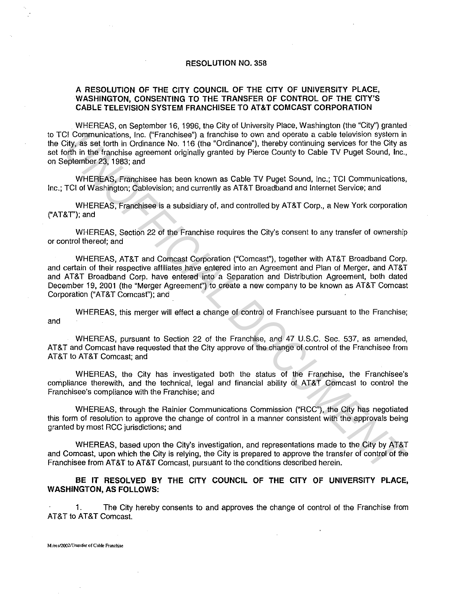## **RESOLUTION** NO. 358

## **A RESOLUTION OF THE CITY COUNCIL OF THE CITY OF UNIVERSITY PLACE, WASHINGTON, CONSENTING TO THE TRANSFER OF CONTROL OF THE CITY'S CABLE TELEVISION SYSTEM FRANCHISEE TO AT&T COMCAST CORPORATION**

WHEREAS, on September 16, 1996, the City of University Place, Washington (the "City") granted to TCI Communications, Inc. ("Franchisee") a franchise to own and operate a cable television system in the City, as set forth in Ordinance No. 116 {the "Ordinance"), thereby continuing services for the City as set forth in the franchise agreement originally granted by Pierce County to Cable TV Puget Sound, Inc., on September 23, 1983; and

WHEREAS, Franchisee has been known as Cable TV Puget Sound, Inc.; TCI Communications, Inc.; TCI of Washington; Cablevision; and currently as AT&T Broadband and Internet Service; and

WHEREAS, Franchisee is a subsidiary of, and controlled by AT&T Corp., a New York corporation ("AT&T'); and

WHEREAS, Section 22 of the Franchise requires the City's consent to any transfer of ownership or control thereof; and

WHEREAS, AT&T and Comcast Corporation ("Comcast"), together with AT&T Broadband Corp. and certain of their respective affiliates have entered into an Agreement and Plan of Merger, and AT&T and AT&T Broadband Corp. have entered into a Separation and Distribution Agreement, both dated December 19, 2001 (the "Merger Agreemenf') to create a new company to be known as AT&T Comcast Corporation ("AT&T Comcast"); and C Communications, the ("Franchiese") at franchiese to own and operate a cable to isosic bisesimic specifical of the forest and the franchiese of the City as set forth in Ordinance No. 116 (the "Ordinance"), therety contriv

WHEREAS, this merger will effect a change of control of Franchisee pursuant to the Franchise; and

WHEREAS, pursuant to Section 22 of the Franchise, and 47 U.S.C. Sec. 537, as amended, AT&T and Comcast have requested that the City approve of the change of control of the Franchisee from AT&T to AT&T Comcast; and

WHEREAS, the City has investigated both the status of the Franchise, the Franchisee's compliance therewith, and the technical, legal and financial ability of AT&T Comcast to control the Franchisee's compliance with the Franchise; and

WHEREAS, through the Rainier Communications Commission ("RCC"), the City has negotiated this form of resolution to approve the change of control in a manner consistent with the approvals being granted by most RCC jurisdictions; and

WHEREAS, based upon the City's investigation, and representations made to the City by AT&T and Comcast, upon which the City is relying, the City is prepared to approve the transfer of control of the Franchisee from AT&T to AT&T Comcast, pursuant to the conditions described herein.

**BE IT RESOLVED BY THE CITY COUNCIL OF THE CITY OF UNIVERSITY PLACE, WASHINGTON, AS FOLLOWS:** 

1. The City hereby consents to and approves the change of control of the Franchise from AT&T to AT&T Comcast.

**M:/res12002n'ransfer of Cable Franchise**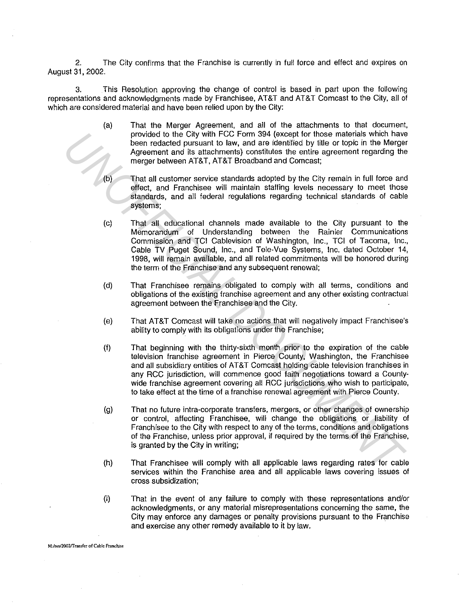2. The City confirms that the Franchise is currently in full force and effect and expires on August 31, 2002.

3. This Resolution approving the change of control is based in part upon the following representations and acknowledgments made by Franchisee, AT&T and AT&T Comcast to the City, all of which are considered material and have been relied upon by the City:

- (a) That the Merger Agreement, and all of the attachments to that document, provided to the City with FCC Form 394 (except for those materials which have been redacted pursuant to law, and are identified by title or topic in the Merger Agreement and its attachments) constitutes the entire agreement regarding the merger between AT&T, AT&T Broadband and Comcast;
- (b) That all customer service standards adopted by the City remain in full force and effect, and Franchisee will maintain staffing levels necessary to meet those standards, and all federal regulations regarding technical standards of cable systems;
- (c) That all educational channels made available to the City pursuant to the Memorandum of Understanding between the Rainier Communications Commission and TCI Cablevision of Washington, Inc., TCI of Tacoma, Inc., Cable TV Puget Sound, Inc., and Tele-Vue Systems, Inc. dated October 14, 1998, will remain available, and all related commitments will be honored during the term of the Franchise and any subsequent renewal; provided to the City with FCC from 394 (except for those materials which have provided to the City with FCC from a streament and is attachments) constitutes the entire aprosent and is attachments) constitutes the entire ap
	- (d) That Franchisee remains obligated to comply with all terms, conditions and obligations of the existing franchise agreement and any other existing contractual agreement between the Franchisee and the City.
	- (e) That AT&T Comcast will take no actions that will negatively impact Franchisee's ability to comply with its obligations under the Franchise;
	- (f) That beginning with the thirty-sixth month prior to the expiration of the cable television franchise agreement in Pierce County, Washington, the Franchisee and all subsidiary entities of AT&T Comcast holding cable television franchises in any RCC jurisdiction, will commence good faith negotiations toward a Countywide franchise agreement covering all RCC jurisdictions who wish to participate, to take effect at the time of a franchise renewal agreement with Pierce County.
	- (g) That no future intra-corporate transfers, mergers, or other changes of ownership or control, affecting Franchisee, will change the obligations or liability of Franchisee to the City with respect to any of the terms, conditions and obligations of the Franchise, unless prior approval, if required by the terms of the Franchise, is granted by the City in writing;
	- (h) That Franchisee will comply with all applicable laws regarding rates for cable services within the Franchise area and all applicable laws covering issues of cross subsidization;
	- (i) That in the event of any failure to comply with these representations and/or acknowledgments, or any material misrepresentations concerning the same, the City may enforce any damages or penalty provisions pursuant to the Franchise and exercise any other remedy available to it by law.

**M:/res12002!I'ransfer of Cable Franchise**